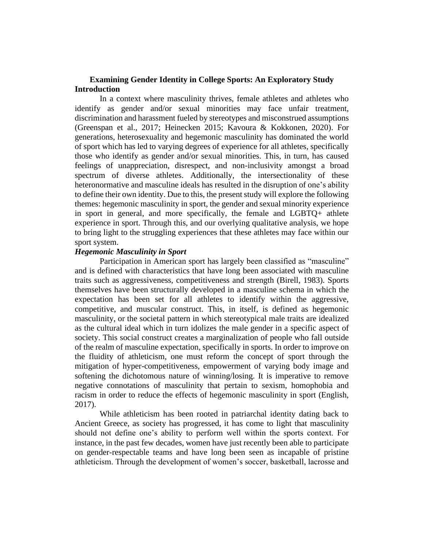### **Examining Gender Identity in College Sports: An Exploratory Study Introduction**

In a context where masculinity thrives, female athletes and athletes who identify as gender and/or sexual minorities may face unfair treatment, discrimination and harassment fueled by stereotypes and misconstrued assumptions (Greenspan et al., 2017; Heinecken 2015; Kavoura & Kokkonen, 2020). For generations, heterosexuality and hegemonic masculinity has dominated the world of sport which has led to varying degrees of experience for all athletes, specifically those who identify as gender and/or sexual minorities. This, in turn, has caused feelings of unappreciation, disrespect, and non-inclusivity amongst a broad spectrum of diverse athletes. Additionally, the intersectionality of these heteronormative and masculine ideals has resulted in the disruption of one's ability to define their own identity. Due to this, the present study will explore the following themes: hegemonic masculinity in sport, the gender and sexual minority experience in sport in general, and more specifically, the female and LGBTQ+ athlete experience in sport. Through this, and our overlying qualitative analysis, we hope to bring light to the struggling experiences that these athletes may face within our sport system.

#### *Hegemonic Masculinity in Sport*

Participation in American sport has largely been classified as "masculine" and is defined with characteristics that have long been associated with masculine traits such as aggressiveness, competitiveness and strength (Birell, 1983). Sports themselves have been structurally developed in a masculine schema in which the expectation has been set for all athletes to identify within the aggressive, competitive, and muscular construct. This, in itself, is defined as hegemonic masculinity, or the societal pattern in which stereotypical male traits are idealized as the cultural ideal which in turn idolizes the male gender in a specific aspect of society. This social construct creates a marginalization of people who fall outside of the realm of masculine expectation, specifically in sports. In order to improve on the fluidity of athleticism, one must reform the concept of sport through the mitigation of hyper-competitiveness, empowerment of varying body image and softening the dichotomous nature of winning/losing. It is imperative to remove negative connotations of masculinity that pertain to sexism, homophobia and racism in order to reduce the effects of hegemonic masculinity in sport (English, 2017).

While athleticism has been rooted in patriarchal identity dating back to Ancient Greece, as society has progressed, it has come to light that masculinity should not define one's ability to perform well within the sports context. For instance, in the past few decades, women have just recently been able to participate on gender-respectable teams and have long been seen as incapable of pristine athleticism. Through the development of women's soccer, basketball, lacrosse and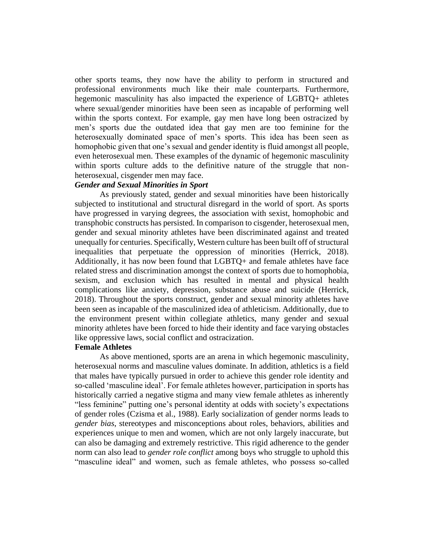other sports teams, they now have the ability to perform in structured and professional environments much like their male counterparts. Furthermore, hegemonic masculinity has also impacted the experience of LGBTQ+ athletes where sexual/gender minorities have been seen as incapable of performing well within the sports context. For example, gay men have long been ostracized by men's sports due the outdated idea that gay men are too feminine for the heterosexually dominated space of men's sports. This idea has been seen as homophobic given that one's sexual and gender identity is fluid amongst all people, even heterosexual men. These examples of the dynamic of hegemonic masculinity within sports culture adds to the definitive nature of the struggle that nonheterosexual, cisgender men may face.

#### *Gender and Sexual Minorities in Sport*

As previously stated, gender and sexual minorities have been historically subjected to institutional and structural disregard in the world of sport. As sports have progressed in varying degrees, the association with sexist, homophobic and transphobic constructs has persisted. In comparison to cisgender, heterosexual men, gender and sexual minority athletes have been discriminated against and treated unequally for centuries. Specifically, Western culture has been built off of structural inequalities that perpetuate the oppression of minorities (Herrick, 2018). Additionally, it has now been found that LGBTQ+ and female athletes have face related stress and discrimination amongst the context of sports due to homophobia, sexism, and exclusion which has resulted in mental and physical health complications like anxiety, depression, substance abuse and suicide (Herrick, 2018). Throughout the sports construct, gender and sexual minority athletes have been seen as incapable of the masculinized idea of athleticism. Additionally, due to the environment present within collegiate athletics, many gender and sexual minority athletes have been forced to hide their identity and face varying obstacles like oppressive laws, social conflict and ostracization.

#### **Female Athletes**

As above mentioned, sports are an arena in which hegemonic masculinity, heterosexual norms and masculine values dominate. In addition, athletics is a field that males have typically pursued in order to achieve this gender role identity and so-called 'masculine ideal'. For female athletes however, participation in sports has historically carried a negative stigma and many view female athletes as inherently "less feminine" putting one's personal identity at odds with society's expectations of gender roles (Czisma et al., 1988). Early socialization of gender norms leads to *gender bias*, stereotypes and misconceptions about roles, behaviors, abilities and experiences unique to men and women, which are not only largely inaccurate, but can also be damaging and extremely restrictive. This rigid adherence to the gender norm can also lead to *gender role conflict* among boys who struggle to uphold this "masculine ideal" and women, such as female athletes, who possess so-called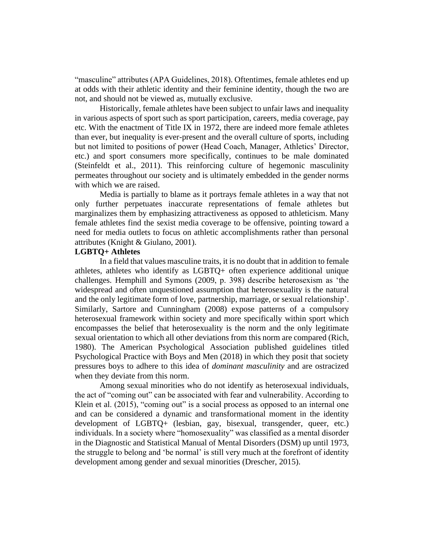"masculine" attributes (APA Guidelines, 2018). Oftentimes, female athletes end up at odds with their athletic identity and their feminine identity, though the two are not, and should not be viewed as, mutually exclusive.

Historically, female athletes have been subject to unfair laws and inequality in various aspects of sport such as sport participation, careers, media coverage, pay etc. With the enactment of Title IX in 1972, there are indeed more female athletes than ever, but inequality is ever-present and the overall culture of sports, including but not limited to positions of power (Head Coach, Manager, Athletics' Director, etc.) and sport consumers more specifically, continues to be male dominated (Steinfeldt et al., 2011). This reinforcing culture of hegemonic masculinity permeates throughout our society and is ultimately embedded in the gender norms with which we are raised.

Media is partially to blame as it portrays female athletes in a way that not only further perpetuates inaccurate representations of female athletes but marginalizes them by emphasizing attractiveness as opposed to athleticism. Many female athletes find the sexist media coverage to be offensive, pointing toward a need for media outlets to focus on athletic accomplishments rather than personal attributes (Knight & Giulano, 2001).

# **LGBTQ+ Athletes**

In a field that values masculine traits, it is no doubt that in addition to female athletes, athletes who identify as LGBTQ+ often experience additional unique challenges. Hemphill and Symons [\(2009,](https://www-tandfonline-com.kean.idm.oclc.org/doi/full/10.1080/13573322.2011.554536) p. 398) describe heterosexism as 'the widespread and often unquestioned assumption that heterosexuality is the natural and the only legitimate form of love, partnership, marriage, or sexual relationship'. Similarly, Sartore and Cunningham (2008) expose patterns of a compulsory heterosexual framework within society and more specifically within sport which encompasses the belief that heterosexuality is the norm and the only legitimate sexual orientation to which all other deviations from this norm are compared (Rich, 1980). The American Psychological Association published guidelines titled Psychological Practice with Boys and Men (2018) in which they posit that society pressures boys to adhere to this idea of *dominant masculinity* and are ostracized when they deviate from this norm.

Among sexual minorities who do not identify as heterosexual individuals, the act of "coming out" can be associated with fear and vulnerability. According to Klein et al. (2015), "coming out" is a social process as opposed to an internal one and can be considered a dynamic and transformational moment in the identity development of LGBTQ+ (lesbian, gay, bisexual, transgender, queer, etc.) individuals. In a society where "homosexuality" was classified as a mental disorder in the Diagnostic and Statistical Manual of Mental Disorders (DSM) up until 1973, the struggle to belong and 'be normal' is still very much at the forefront of identity development among gender and sexual minorities (Drescher, 2015).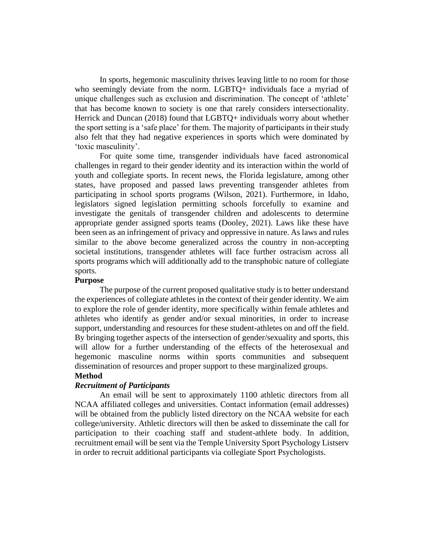In sports, hegemonic masculinity thrives leaving little to no room for those who seemingly deviate from the norm. LGBTQ+ individuals face a myriad of unique challenges such as exclusion and discrimination. The concept of 'athlete' that has become known to society is one that rarely considers intersectionality. Herrick and Duncan (2018) found that LGBTQ+ individuals worry about whether the sport setting is a 'safe place' for them. The majority of participants in their study also felt that they had negative experiences in sports which were dominated by 'toxic masculinity'.

For quite some time, transgender individuals have faced astronomical challenges in regard to their gender identity and its interaction within the world of youth and collegiate sports. In recent news, the Florida legislature, among other states, have proposed and passed laws preventing transgender athletes from participating in school sports programs (Wilson, 2021). Furthermore, in Idaho, legislators signed legislation permitting schools forcefully to examine and investigate the genitals of transgender children and adolescents to determine appropriate gender assigned sports teams (Dooley, 2021). Laws like these have been seen as an infringement of privacy and oppressive in nature. As laws and rules similar to the above become generalized across the country in non-accepting societal institutions, transgender athletes will face further ostracism across all sports programs which will additionally add to the transphobic nature of collegiate sports.

### **Purpose**

The purpose of the current proposed qualitative study is to better understand the experiences of collegiate athletes in the context of their gender identity. We aim to explore the role of gender identity, more specifically within female athletes and athletes who identify as gender and/or sexual minorities, in order to increase support, understanding and resources for these student-athletes on and off the field. By bringing together aspects of the intersection of gender/sexuality and sports, this will allow for a further understanding of the effects of the heterosexual and hegemonic masculine norms within sports communities and subsequent dissemination of resources and proper support to these marginalized groups. **Method**

# *Recruitment of Participants*

An email will be sent to approximately 1100 athletic directors from all NCAA affiliated colleges and universities. Contact information (email addresses) will be obtained from the publicly listed directory on the NCAA website for each college/university. Athletic directors will then be asked to disseminate the call for participation to their coaching staff and student-athlete body. In addition, recruitment email will be sent via the Temple University Sport Psychology Listserv in order to recruit additional participants via collegiate Sport Psychologists.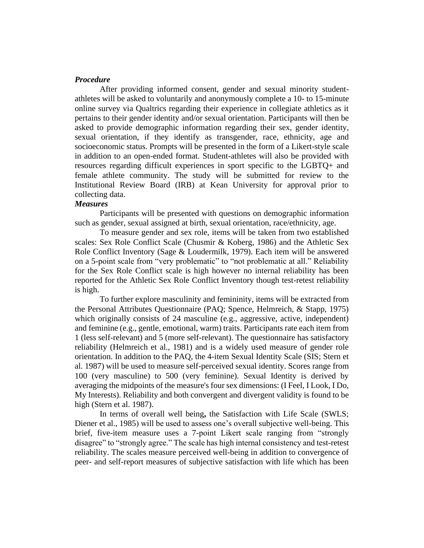#### *Procedure*

After providing informed consent, gender and sexual minority studentathletes will be asked to voluntarily and anonymously complete a 10- to 15-minute online survey via Qualtrics regarding their experience in collegiate athletics as it pertains to their gender identity and/or sexual orientation. Participants will then be asked to provide demographic information regarding their sex, gender identity, sexual orientation, if they identify as transgender, race, ethnicity, age and socioeconomic status. Prompts will be presented in the form of a Likert-style scale in addition to an open-ended format. Student-athletes will also be provided with resources regarding difficult experiences in sport specific to the LGBTQ+ and female athlete community. The study will be submitted for review to the Institutional Review Board (IRB) at Kean University for approval prior to collecting data.

### *Measures*

Participants will be presented with questions on demographic information such as gender, sexual assigned at birth, sexual orientation, race/ethnicity, age.

To measure gender and sex role, items will be taken from two established scales: Sex Role Conflict Scale (Chusmir & Koberg, 1986) and the Athletic Sex Role Conflict Inventory (Sage & Loudermilk, 1979). Each item will be answered on a 5-point scale from "very problematic" to "not problematic at all." Reliability for the Sex Role Conflict scale is high however no internal reliability has been reported for the Athletic Sex Role Conflict Inventory though test-retest reliability is high.

To further explore masculinity and femininity, items will be extracted from the Personal Attributes Questionnaire (PAQ; Spence, Helmreich, & Stapp, 1975) which originally consists of 24 masculine (e.g., aggressive, active, independent) and feminine (e.g., gentle, emotional, warm) traits. Participants rate each item from 1 (less self-relevant) and 5 (more self-relevant). The questionnaire has satisfactory reliability (Helmreich et al., 1981) and is a widely used measure of gender role orientation. In addition to the PAQ, the 4-item Sexual Identity Scale (SIS; Stern et al. 1987) will be used to measure self-perceived sexual identity. Scores range from 100 (very masculine) to 500 (very feminine). Sexual Identity is derived by averaging the midpoints of the measure's four sex dimensions: (I Feel, I Look, I Do, My Interests). Reliability and both convergent and divergent validity is found to be high (Stern et al. 1987).

In terms of overall well being**,** the Satisfaction with Life Scale (SWLS; Diener et al., 1985) will be used to assess one's overall subjective well-being. This brief, five-item measure uses a 7-point Likert scale ranging from "strongly disagree" to "strongly agree." The scale has high internal consistency and test-retest reliability. The scales measure perceived well-being in addition to convergence of peer- and self-report measures of subjective satisfaction with life which has been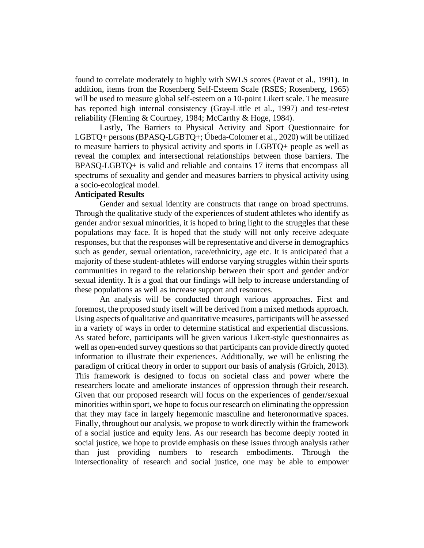found to correlate moderately to highly with SWLS scores (Pavot et al., 1991). In addition, items from the Rosenberg Self-Esteem Scale (RSES; [Rosenberg, 1965\)](https://www-sciencedirect-com.kean.idm.oclc.org/science/article/pii/S0191886916311175#bb0215) will be used to measure global self-esteem on a 10-point Likert scale. The measure has reported high internal consistency [\(Gray-Little et al., 1997\)](https://www-sciencedirect-com.kean.idm.oclc.org/science/article/pii/S0191886916311175#bb0110) and test-retest reliability [\(Fleming & Courtney, 1984;](https://www-sciencedirect-com.kean.idm.oclc.org/science/article/pii/S0191886916311175#bb0090) [McCarthy & Hoge, 1984\)](https://www-sciencedirect-com.kean.idm.oclc.org/science/article/pii/S0191886916311175#bb0145).

Lastly, The Barriers to Physical Activity and Sport Questionnaire for LGBTQ+ persons (BPASQ-LGBTQ+; Úbeda-Colomer et al., 2020) will be utilized to measure barriers to physical activity and sports in LGBTQ+ people as well as reveal the complex and intersectional relationships between those barriers. The BPASQ-LGBTQ+ is valid and reliable and contains 17 items that encompass all spectrums of sexuality and gender and measures barriers to physical activity using a socio-ecological model.

## **Anticipated Results**

Gender and sexual identity are constructs that range on broad spectrums. Through the qualitative study of the experiences of student athletes who identify as gender and/or sexual minorities, it is hoped to bring light to the struggles that these populations may face. It is hoped that the study will not only receive adequate responses, but that the responses will be representative and diverse in demographics such as gender, sexual orientation, race/ethnicity, age etc. It is anticipated that a majority of these student-athletes will endorse varying struggles within their sports communities in regard to the relationship between their sport and gender and/or sexual identity. It is a goal that our findings will help to increase understanding of these populations as well as increase support and resources.

An analysis will be conducted through various approaches. First and foremost, the proposed study itself will be derived from a mixed methods approach. Using aspects of qualitative and quantitative measures, participants will be assessed in a variety of ways in order to determine statistical and experiential discussions. As stated before, participants will be given various Likert-style questionnaires as well as open-ended survey questions so that participants can provide directly quoted information to illustrate their experiences. Additionally, we will be enlisting the paradigm of critical theory in order to support our basis of analysis (Grbich, 2013). This framework is designed to focus on societal class and power where the researchers locate and ameliorate instances of oppression through their research. Given that our proposed research will focus on the experiences of gender/sexual minorities within sport, we hope to focus our research on eliminating the oppression that they may face in largely hegemonic masculine and heteronormative spaces. Finally, throughout our analysis, we propose to work directly within the framework of a social justice and equity lens. As our research has become deeply rooted in social justice, we hope to provide emphasis on these issues through analysis rather than just providing numbers to research embodiments. Through the intersectionality of research and social justice, one may be able to empower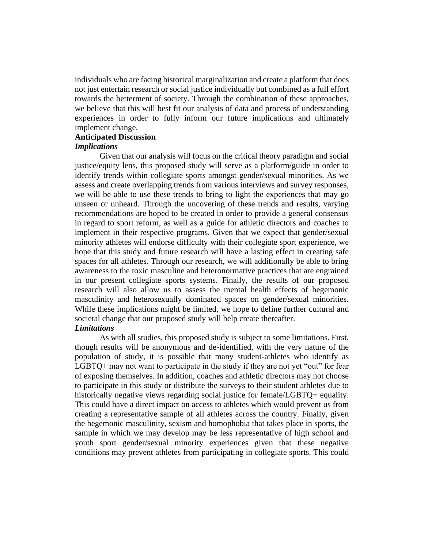individuals who are facing historical marginalization and create a platform that does not just entertain research or social justice individually but combined as a full effort towards the betterment of society. Through the combination of these approaches, we believe that this will best fit our analysis of data and process of understanding experiences in order to fully inform our future implications and ultimately implement change.

# **Anticipated Discussion**

#### *Implications*

Given that our analysis will focus on the critical theory paradigm and social justice/equity lens, this proposed study will serve as a platform/guide in order to identify trends within collegiate sports amongst gender/sexual minorities. As we assess and create overlapping trends from various interviews and survey responses, we will be able to use these trends to bring to light the experiences that may go unseen or unheard. Through the uncovering of these trends and results, varying recommendations are hoped to be created in order to provide a general consensus in regard to sport reform, as well as a guide for athletic directors and coaches to implement in their respective programs. Given that we expect that gender/sexual minority athletes will endorse difficulty with their collegiate sport experience, we hope that this study and future research will have a lasting effect in creating safe spaces for all athletes. Through our research, we will additionally be able to bring awareness to the toxic masculine and heteronormative practices that are engrained in our present collegiate sports systems. Finally, the results of our proposed research will also allow us to assess the mental health effects of hegemonic masculinity and heterosexually dominated spaces on gender/sexual minorities. While these implications might be limited, we hope to define further cultural and societal change that our proposed study will help create thereafter. *Limitations*

As with all studies, this proposed study is subject to some limitations. First, though results will be anonymous and de-identified, with the very nature of the population of study, it is possible that many student-athletes who identify as LGBTQ+ may not want to participate in the study if they are not yet "out" for fear of exposing themselves. In addition, coaches and athletic directors may not choose to participate in this study or distribute the surveys to their student athletes due to historically negative views regarding social justice for female/LGBTQ+ equality. This could have a direct impact on access to athletes which would prevent us from creating a representative sample of all athletes across the country. Finally, given the hegemonic masculinity, sexism and homophobia that takes place in sports, the sample in which we may develop may be less representative of high school and youth sport gender/sexual minority experiences given that these negative conditions may prevent athletes from participating in collegiate sports. This could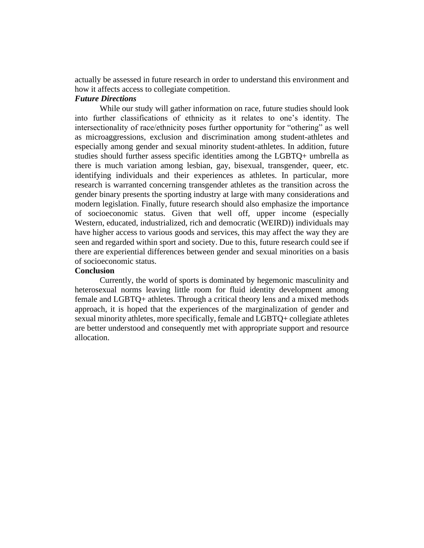actually be assessed in future research in order to understand this environment and how it affects access to collegiate competition.

# *Future Directions*

While our study will gather information on race, future studies should look into further classifications of ethnicity as it relates to one's identity. The intersectionality of race/ethnicity poses further opportunity for "othering" as well as microaggressions, exclusion and discrimination among student-athletes and especially among gender and sexual minority student-athletes. In addition, future studies should further assess specific identities among the LGBTQ+ umbrella as there is much variation among lesbian, gay, bisexual, transgender, queer, etc. identifying individuals and their experiences as athletes. In particular, more research is warranted concerning transgender athletes as the transition across the gender binary presents the sporting industry at large with many considerations and modern legislation. Finally, future research should also emphasize the importance of socioeconomic status. Given that well off, upper income (especially Western, educated, industrialized, rich and democratic (WEIRD)) individuals may have higher access to various goods and services, this may affect the way they are seen and regarded within sport and society. Due to this, future research could see if there are experiential differences between gender and sexual minorities on a basis of socioeconomic status.

# **Conclusion**

Currently, the world of sports is dominated by hegemonic masculinity and heterosexual norms leaving little room for fluid identity development among female and LGBTQ+ athletes. Through a critical theory lens and a mixed methods approach, it is hoped that the experiences of the marginalization of gender and sexual minority athletes, more specifically, female and LGBTQ+ collegiate athletes are better understood and consequently met with appropriate support and resource allocation.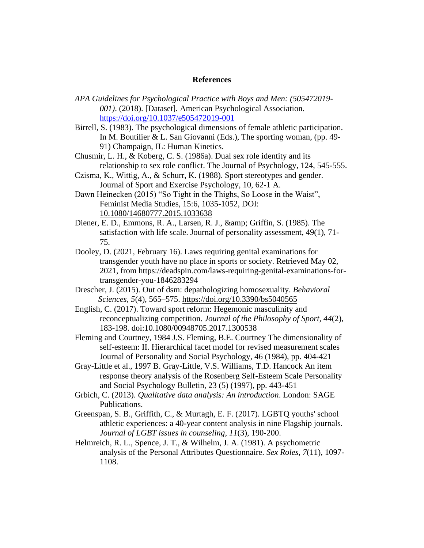#### **References**

- *APA Guidelines for Psychological Practice with Boys and Men: (505472019- 001)*. (2018). [Dataset]. American Psychological Association[.](https://doi.org/10.1037/e505472019-001) <https://doi.org/10.1037/e505472019-001>
- Birrell, S. (1983). The psychological dimensions of female athletic participation. In M. Boutilier & L. San Giovanni (Eds.), The sporting woman, (pp. 49- 91) Champaign, IL: Human Kinetics.
- Chusmir, L. H., & Koberg, C. S. (1986a). Dual sex role identity and its relationship to sex role conflict. The Journal of Psychology, 124, 545-555.
- Czisma, K., Wittig, A., & Schurr, K. (1988). Sport stereotypes and gender. Journal of Sport and Exercise Psychology, 10, 62-1 A.
- Dawn Heinecken (2015) "So Tight in the Thighs, So Loose in the Waist", Feminist Media Studies, 15:6, 1035-1052, DOI: [10.1080/14680777.2015.1033638](https://doi.org/10.1080/14680777.2015.1033638)
- Diener, E. D., Emmons, R. A., Larsen, R. J., & amp; Griffin, S. (1985). The satisfaction with life scale. Journal of personality assessment, 49(1), 71- 75.
- Dooley, D. (2021, February 16). Laws requiring genital examinations for transgender youth have no place in sports or society. Retrieved May 02, 2021, from https://deadspin.com/laws-requiring-genital-examinations-fortransgender-you-1846283294
- Drescher, J. (2015). Out of dsm: depathologizing homosexuality. *Behavioral Sciences*, *5*(4), 565–575.<https://doi.org/10.3390/bs5040565>
- English, C. (2017). Toward sport reform: Hegemonic masculinity and reconceptualizing competition. *Journal of the Philosophy of Sport, 44*(2), 183-198. doi:10.1080/00948705.2017.1300538
- [Fleming and Courtney, 1984](https://www-sciencedirect-com.kean.idm.oclc.org/science/article/pii/S0191886916311175#bbb0090) J.S. Fleming, B.E. Courtney The dimensionality of self-esteem: II. Hierarchical facet model for revised measurement scales Journal of Personality and Social Psychology, 46 (1984), pp. 404-421
- [Gray-Little et al., 1997](https://www-sciencedirect-com.kean.idm.oclc.org/science/article/pii/S0191886916311175#bbb0110) B. Gray-Little, V.S. Williams, T.D. Hancock An item response theory analysis of the Rosenberg Self-Esteem Scale Personality and Social Psychology Bulletin, 23 (5) (1997), pp. 443-451
- Grbich, C. (2013). *Qualitative data analysis: An introduction*. London: SAGE Publications.
- Greenspan, S. B., Griffith, C., & Murtagh, E. F. (2017). LGBTQ youths' school athletic experiences: a 40-year content analysis in nine Flagship journals. *Journal of LGBT issues in counseling*, *11*(3), 190-200.
- Helmreich, R. L., Spence, J. T., & Wilhelm, J. A. (1981). A psychometric analysis of the Personal Attributes Questionnaire. *Sex Roles*, *7*(11), 1097- 1108.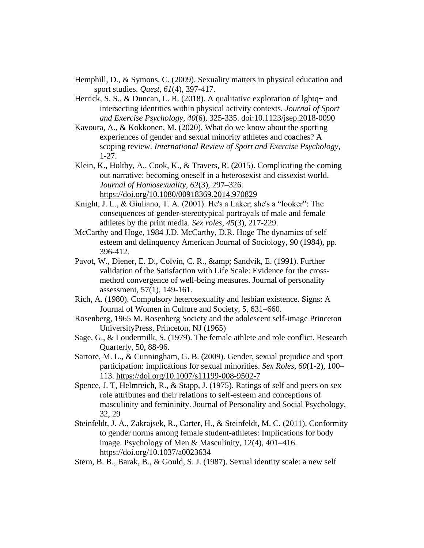- Hemphill, D., & Symons, C. (2009). Sexuality matters in physical education and sport studies. *Quest*, *61*(4), 397-417.
- Herrick, S. S., & Duncan, L. R. (2018). A qualitative exploration of lgbtq+ and intersecting identities within physical activity contexts. *Journal of Sport and Exercise Psychology, 40*(6), 325-335. doi:10.1123/jsep.2018-0090
- Kavoura, A., & Kokkonen, M. (2020). What do we know about the sporting experiences of gender and sexual minority athletes and coaches? A scoping review. *International Review of Sport and Exercise Psychology*, 1-27.
- Klein, K., Holtby, A., Cook, K.,  $\&$  Travers, R. (2015). Complicating the coming out narrative: becoming oneself in a heterosexist and cissexist world. *Journal of Homosexuality*, *62*(3), 297–326. <https://doi.org/10.1080/00918369.2014.970829>
- Knight, J. L., & Giuliano, T. A. (2001). He's a Laker; she's a "looker": The consequences of gender-stereotypical portrayals of male and female athletes by the print media. *Sex roles*, *45*(3), 217-229.
- [McCarthy and Hoge, 1984](https://www-sciencedirect-com.kean.idm.oclc.org/science/article/pii/S0191886916311175#bbb0145) J.D. McCarthy, D.R. Hoge The dynamics of self esteem and delinquency American Journal of Sociology, 90 (1984), pp. 396-412.
- Pavot, W., Diener, E. D., Colvin, C. R., & amp; Sandvik, E. (1991). Further validation of the Satisfaction with Life Scale: Evidence for the crossmethod convergence of well-being measures. Journal of personality assessment, 57(1), 149-161.
- Rich, A. (1980). Compulsory heterosexuality and lesbian existence. Signs: A Journal of Women in Culture and Society, 5, 631–660.
- [Rosenberg, 1965](https://www-sciencedirect-com.kean.idm.oclc.org/science/article/pii/S0191886916311175#bbb0215) M. Rosenberg Society and the adolescent self-image Princeton UniversityPress, Princeton, NJ (1965)
- Sage, G., & Loudermilk, S. (1979). The female athlete and role conflict. Research Quarterly, 50, 88-96.
- Sartore, M. L., & Cunningham, G. B. (2009). Gender, sexual prejudice and sport participation: implications for sexual minorities. *Sex Roles*, *60*(1-2), 100– 113.<https://doi.org/10.1007/s11199-008-9502-7>
- Spence, J. T, Helmreich, R., & Stapp, J. (1975). Ratings of self and peers on sex role attributes and their relations to self-esteem and conceptions of masculinity and femininity. Journal of Personality and Social Psychology, 32, 29
- Steinfeldt, J. A., Zakrajsek, R., Carter, H., & Steinfeldt, M. C. (2011). Conformity to gender norms among female student-athletes: Implications for body image. Psychology of Men & Masculinity, 12(4), 401–416. https://doi.org/10.1037/a0023634
- Stern, B. B., Barak, B., & Gould, S. J. (1987). Sexual identity scale: a new self